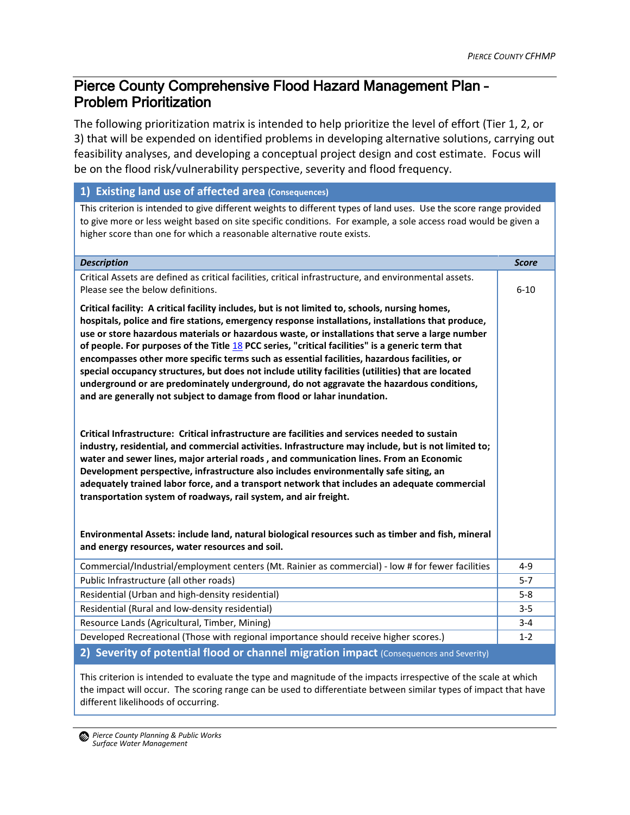## Pierce County Comprehensive Flood Hazard Management Plan – Problem Prioritization

The following prioritization matrix is intended to help prioritize the level of effort (Tier 1, 2, or 3) that will be expended on identified problems in developing alternative solutions, carrying out feasibility analyses, and developing a conceptual project design and cost estimate. Focus will be on the flood risk/vulnerability perspective, severity and flood frequency.

## **1) Existing land use of affected area (Consequences)**

This criterion is intended to give different weights to different types of land uses. Use the score range provided to give more or less weight based on site specific conditions. For example, a sole access road would be given a higher score than one for which a reasonable alternative route exists.

| <b>Description</b>                                                                                                                                                                                                                                                                                                                                                                                                                                                                                                                                                                                                                                                                                                                                                                          | <b>Score</b> |
|---------------------------------------------------------------------------------------------------------------------------------------------------------------------------------------------------------------------------------------------------------------------------------------------------------------------------------------------------------------------------------------------------------------------------------------------------------------------------------------------------------------------------------------------------------------------------------------------------------------------------------------------------------------------------------------------------------------------------------------------------------------------------------------------|--------------|
| Critical Assets are defined as critical facilities, critical infrastructure, and environmental assets.<br>Please see the below definitions.                                                                                                                                                                                                                                                                                                                                                                                                                                                                                                                                                                                                                                                 | $6 - 10$     |
| Critical facility: A critical facility includes, but is not limited to, schools, nursing homes,<br>hospitals, police and fire stations, emergency response installations, installations that produce,<br>use or store hazardous materials or hazardous waste, or installations that serve a large number<br>of people. For purposes of the Title $18$ PCC series, "critical facilities" is a generic term that<br>encompasses other more specific terms such as essential facilities, hazardous facilities, or<br>special occupancy structures, but does not include utility facilities (utilities) that are located<br>underground or are predominately underground, do not aggravate the hazardous conditions,<br>and are generally not subject to damage from flood or lahar inundation. |              |
| Critical Infrastructure: Critical infrastructure are facilities and services needed to sustain<br>industry, residential, and commercial activities. Infrastructure may include, but is not limited to;<br>water and sewer lines, major arterial roads, and communication lines. From an Economic<br>Development perspective, infrastructure also includes environmentally safe siting, an<br>adequately trained labor force, and a transport network that includes an adequate commercial<br>transportation system of roadways, rail system, and air freight.<br>Environmental Assets: include land, natural biological resources such as timber and fish, mineral<br>and energy resources, water resources and soil.                                                                       |              |
| Commercial/Industrial/employment centers (Mt. Rainier as commercial) - low # for fewer facilities                                                                                                                                                                                                                                                                                                                                                                                                                                                                                                                                                                                                                                                                                           | $4 - 9$      |
| Public Infrastructure (all other roads)                                                                                                                                                                                                                                                                                                                                                                                                                                                                                                                                                                                                                                                                                                                                                     | $5 - 7$      |
| Residential (Urban and high-density residential)                                                                                                                                                                                                                                                                                                                                                                                                                                                                                                                                                                                                                                                                                                                                            | $5 - 8$      |
| Residential (Rural and low-density residential)                                                                                                                                                                                                                                                                                                                                                                                                                                                                                                                                                                                                                                                                                                                                             | $3 - 5$      |
| Resource Lands (Agricultural, Timber, Mining)                                                                                                                                                                                                                                                                                                                                                                                                                                                                                                                                                                                                                                                                                                                                               | $3 - 4$      |
| Developed Recreational (Those with regional importance should receive higher scores.)                                                                                                                                                                                                                                                                                                                                                                                                                                                                                                                                                                                                                                                                                                       | $1 - 2$      |
| 2) Severity of potential flood or channel migration impact (Consequences and Severity)                                                                                                                                                                                                                                                                                                                                                                                                                                                                                                                                                                                                                                                                                                      |              |
|                                                                                                                                                                                                                                                                                                                                                                                                                                                                                                                                                                                                                                                                                                                                                                                             |              |

This criterion is intended to evaluate the type and magnitude of the impacts irrespective of the scale at which the impact will occur. The scoring range can be used to differentiate between similar types of impact that have different likelihoods of occurring.

*Pierce County Planning & Public Works Surface Water Management*